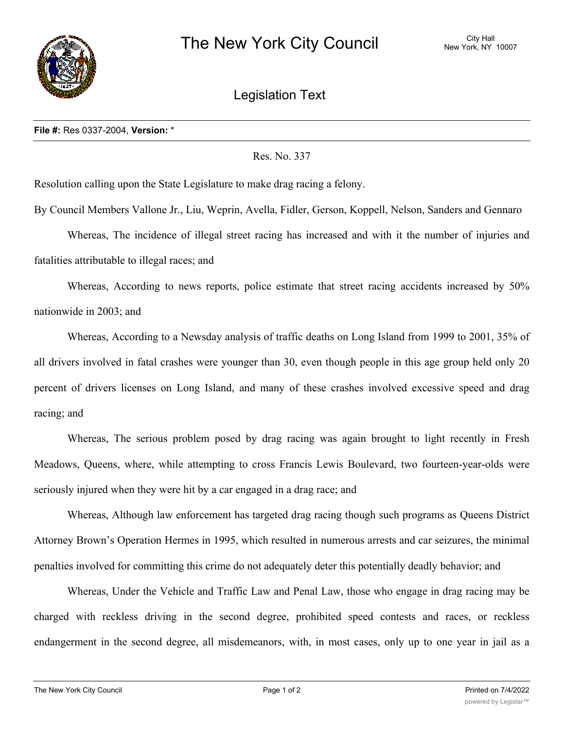

Legislation Text

## **File #:** Res 0337-2004, **Version:** \*

Res. No. 337

Resolution calling upon the State Legislature to make drag racing a felony.

By Council Members Vallone Jr., Liu, Weprin, Avella, Fidler, Gerson, Koppell, Nelson, Sanders and Gennaro

Whereas, The incidence of illegal street racing has increased and with it the number of injuries and fatalities attributable to illegal races; and

Whereas, According to news reports, police estimate that street racing accidents increased by 50% nationwide in 2003; and

Whereas, According to a Newsday analysis of traffic deaths on Long Island from 1999 to 2001, 35% of all drivers involved in fatal crashes were younger than 30, even though people in this age group held only 20 percent of drivers licenses on Long Island, and many of these crashes involved excessive speed and drag racing; and

Whereas, The serious problem posed by drag racing was again brought to light recently in Fresh Meadows, Queens, where, while attempting to cross Francis Lewis Boulevard, two fourteen-year-olds were seriously injured when they were hit by a car engaged in a drag race; and

Whereas, Although law enforcement has targeted drag racing though such programs as Queens District Attorney Brown's Operation Hermes in 1995, which resulted in numerous arrests and car seizures, the minimal penalties involved for committing this crime do not adequately deter this potentially deadly behavior; and

Whereas, Under the Vehicle and Traffic Law and Penal Law, those who engage in drag racing may be charged with reckless driving in the second degree, prohibited speed contests and races, or reckless endangerment in the second degree, all misdemeanors, with, in most cases, only up to one year in jail as a